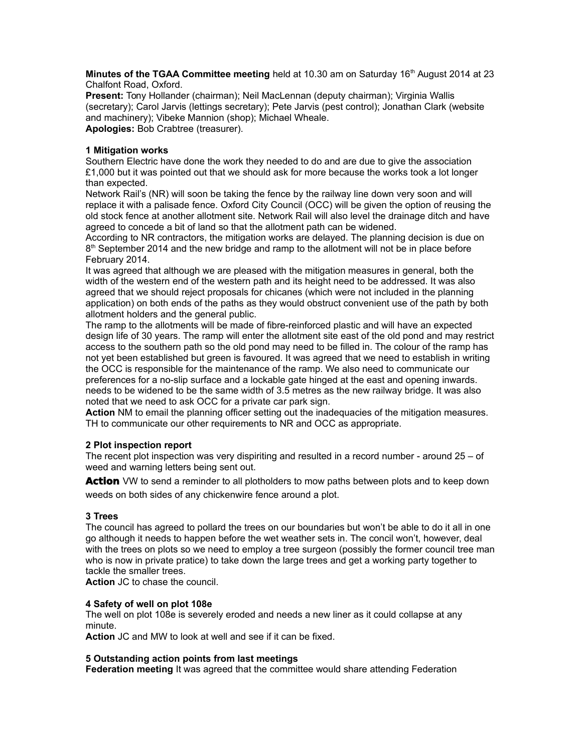**Minutes of the TGAA Committee meeting** held at 10.30 am on Saturday 16<sup>th</sup> August 2014 at 23 Chalfont Road, Oxford.

**Present:** Tony Hollander (chairman); Neil MacLennan (deputy chairman); Virginia Wallis (secretary); Carol Jarvis (lettings secretary); Pete Jarvis (pest control); Jonathan Clark (website and machinery); Vibeke Mannion (shop); Michael Wheale. **Apologies:** Bob Crabtree (treasurer).

# **1 Mitigation works**

Southern Electric have done the work they needed to do and are due to give the association £1,000 but it was pointed out that we should ask for more because the works took a lot longer than expected.

Network Rail's (NR) will soon be taking the fence by the railway line down very soon and will replace it with a palisade fence. Oxford City Council (OCC) will be given the option of reusing the old stock fence at another allotment site. Network Rail will also level the drainage ditch and have agreed to concede a bit of land so that the allotment path can be widened.

According to NR contractors, the mitigation works are delayed. The planning decision is due on 8<sup>th</sup> September 2014 and the new bridge and ramp to the allotment will not be in place before February 2014.

It was agreed that although we are pleased with the mitigation measures in general, both the width of the western end of the western path and its height need to be addressed. It was also agreed that we should reject proposals for chicanes (which were not included in the planning application) on both ends of the paths as they would obstruct convenient use of the path by both allotment holders and the general public.

The ramp to the allotments will be made of fibre-reinforced plastic and will have an expected design life of 30 years. The ramp will enter the allotment site east of the old pond and may restrict access to the southern path so the old pond may need to be filled in. The colour of the ramp has not yet been established but green is favoured. It was agreed that we need to establish in writing the OCC is responsible for the maintenance of the ramp. We also need to communicate our preferences for a no-slip surface and a lockable gate hinged at the east and opening inwards. needs to be widened to be the same width of 3.5 metres as the new railway bridge. It was also noted that we need to ask OCC for a private car park sign.

**Action** NM to email the planning officer setting out the inadequacies of the mitigation measures. TH to communicate our other requirements to NR and OCC as appropriate.

# **2 Plot inspection report**

The recent plot inspection was very dispiriting and resulted in a record number - around 25 – of weed and warning letters being sent out.

**Action** VW to send a reminder to all plotholders to mow paths between plots and to keep down weeds on both sides of any chickenwire fence around a plot.

### **3 Trees**

The council has agreed to pollard the trees on our boundaries but won't be able to do it all in one go although it needs to happen before the wet weather sets in. The concil won't, however, deal with the trees on plots so we need to employ a tree surgeon (possibly the former council tree man who is now in private pratice) to take down the large trees and get a working party together to tackle the smaller trees.

**Action** JC to chase the council.

#### **4 Safety of well on plot 108e**

The well on plot 108e is severely eroded and needs a new liner as it could collapse at any minute.

**Action** JC and MW to look at well and see if it can be fixed.

#### **5 Outstanding action points from last meetings**

**Federation meeting** It was agreed that the committee would share attending Federation